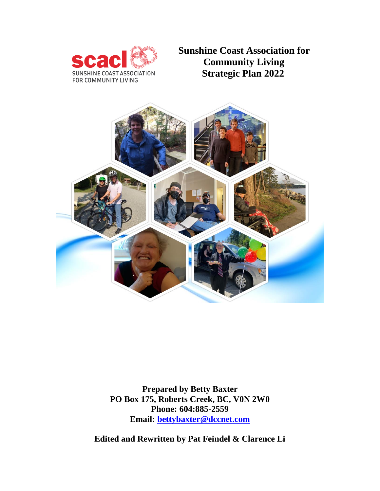

**Sunshine Coast Association for Community Living Strategic Plan 2022**



**Prepared by Betty Baxter PO Box 175, Roberts Creek, BC, V0N 2W0 Phone: 604:885-2559 Email: [bettybaxter@dccnet.com](mailto:bettybaxter@dccnet.com)**

**Edited and Rewritten by Pat Feindel & Clarence Li**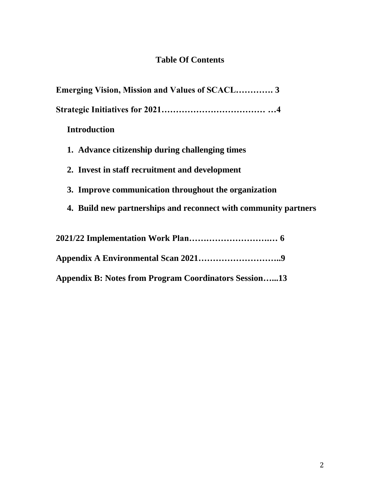# **Table Of Contents**

| <b>Emerging Vision, Mission and Values of SCACL 3</b>           |
|-----------------------------------------------------------------|
|                                                                 |
| <b>Introduction</b>                                             |
| 1. Advance citizenship during challenging times                 |
| 2. Invest in staff recruitment and development                  |
| 3. Improve communication throughout the organization            |
| 4. Build new partnerships and reconnect with community partners |
|                                                                 |
|                                                                 |
| <b>Appendix B: Notes from Program Coordinators Session13</b>    |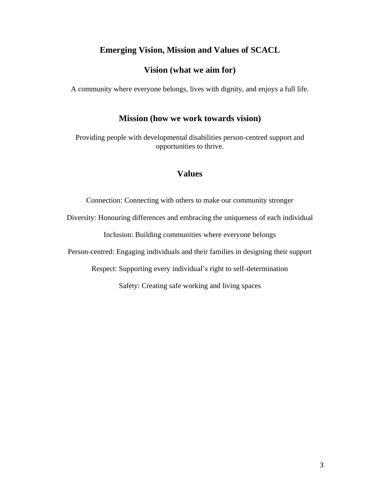#### **Emerging Vision, Mission and Values of SCACL**

#### **Vision (what we aim for)**

A community where everyone belongs, lives with dignity, and enjoys a full life.

#### **Mission (how we work towards vision)**

Providing people with developmental disabilities person-centred support and opportunities to thrive.

#### **Values**

Connection: Connecting with others to make our community stronger

Diversity: Honouring differences and embracing the uniqueness of each individual

Inclusion: Building communities where everyone belongs

Person-centred: Engaging individuals and their families in designing their support

Respect: Supporting every individual's right to self-determination

Safety: Creating safe working and living spaces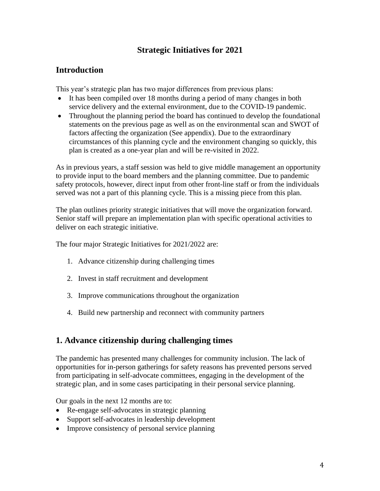# **Strategic Initiatives for 2021**

#### **Introduction**

This year's strategic plan has two major differences from previous plans:

- It has been compiled over 18 months during a period of many changes in both service delivery and the external environment, due to the COVID-19 pandemic.
- Throughout the planning period the board has continued to develop the foundational statements on the previous page as well as on the environmental scan and SWOT of factors affecting the organization (See appendix). Due to the extraordinary circumstances of this planning cycle and the environment changing so quickly, this plan is created as a one-year plan and will be re-visited in 2022.

As in previous years, a staff session was held to give middle management an opportunity to provide input to the board members and the planning committee. Due to pandemic safety protocols, however, direct input from other front-line staff or from the individuals served was not a part of this planning cycle. This is a missing piece from this plan.

The plan outlines priority strategic initiatives that will move the organization forward. Senior staff will prepare an implementation plan with specific operational activities to deliver on each strategic initiative.

The four major Strategic Initiatives for 2021/2022 are:

- 1. Advance citizenship during challenging times
- 2. Invest in staff recruitment and development
- 3. Improve communications throughout the organization
- 4. Build new partnership and reconnect with community partners

# **1. Advance citizenship during challenging times**

The pandemic has presented many challenges for community inclusion. The lack of opportunities for in-person gatherings for safety reasons has prevented persons served from participating in self-advocate committees, engaging in the development of the strategic plan, and in some cases participating in their personal service planning.

Our goals in the next 12 months are to:

- Re-engage self-advocates in strategic planning
- Support self-advocates in leadership development
- Improve consistency of personal service planning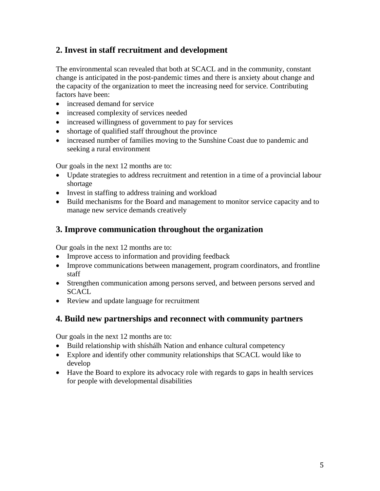# **2. Invest in staff recruitment and development**

The environmental scan revealed that both at SCACL and in the community, constant change is anticipated in the post-pandemic times and there is anxiety about change and the capacity of the organization to meet the increasing need for service. Contributing factors have been:

- increased demand for service
- increased complexity of services needed
- increased willingness of government to pay for services
- shortage of qualified staff throughout the province
- increased number of families moving to the Sunshine Coast due to pandemic and seeking a rural environment

Our goals in the next 12 months are to:

- Update strategies to address recruitment and retention in a time of a provincial labour shortage
- Invest in staffing to address training and workload
- Build mechanisms for the Board and management to monitor service capacity and to manage new service demands creatively

# **3. Improve communication throughout the organization**

Our goals in the next 12 months are to:

- Improve access to information and providing feedback
- Improve communications between management, program coordinators, and frontline staff
- Strengthen communication among persons served, and between persons served and **SCACL**
- Review and update language for recruitment

# **4. Build new partnerships and reconnect with community partners**

Our goals in the next 12 months are to:

- Build relationship with shíshálh Nation and enhance cultural competency
- Explore and identify other community relationships that SCACL would like to develop
- Have the Board to explore its advocacy role with regards to gaps in health services for people with developmental disabilities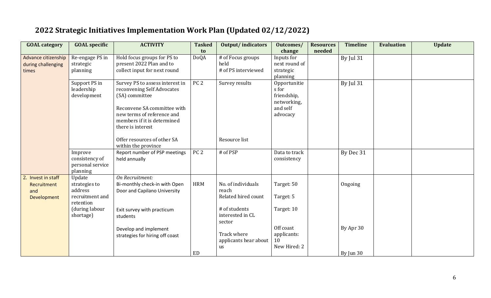| <b>GOAL category</b>                                    | <b>GOAL</b> specific                                               | <b>ACTIVITY</b>                                                                                                                                                                                  | <b>Tasked</b><br>to | <b>Output/indicators</b>                           | Outcomes/<br>change                                                         | <b>Resources</b><br>needed | <b>Timeline</b> | <b>Evaluation</b> | <b>Update</b> |
|---------------------------------------------------------|--------------------------------------------------------------------|--------------------------------------------------------------------------------------------------------------------------------------------------------------------------------------------------|---------------------|----------------------------------------------------|-----------------------------------------------------------------------------|----------------------------|-----------------|-------------------|---------------|
| Advance citizenship<br>during challenging<br>times      | Re-engage PS in<br>strategic<br>planning                           | Hold focus groups for PS to<br>present 2022 Plan and to<br>collect input for next round                                                                                                          | <b>DoQA</b>         | # of Focus groups<br>held<br># of PS interviewed   | Inputs for<br>next round of<br>strategic<br>planning                        |                            | By Jul 31       |                   |               |
|                                                         | Support PS in<br>leadership<br>development                         | Survey PS to assess interest in<br>reconvening Self Advocates<br>(SA) committee<br>Reconvene SA committee with<br>new terms of reference and<br>members if it is determined<br>there is interest | PC <sub>2</sub>     | Survey results                                     | Opportunitie<br>s for<br>friendship,<br>networking,<br>and self<br>advocacy |                            | By Jul 31       |                   |               |
|                                                         |                                                                    | Offer resources of other SA<br>within the province                                                                                                                                               |                     | Resource list                                      |                                                                             |                            |                 |                   |               |
|                                                         | Improve<br>consistency of<br>personal service<br>planning          | Report number of PSP meetings<br>held annually                                                                                                                                                   | PC <sub>2</sub>     | # of PSP                                           | Data to track<br>consistency                                                |                            | By Dec 31       |                   |               |
| 2. Invest in staff<br>Recruitment<br>and<br>Development | Update<br>strategies to<br>address<br>recruitment and<br>retention | On Recruitment:<br>Bi-monthly check-in with Open<br>Door and Capilano University                                                                                                                 | <b>HRM</b>          | No. of individuals<br>reach<br>Related hired count | Target: 50<br>Target: 5                                                     |                            | Ongoing         |                   |               |
|                                                         | (during labour<br>shortage)                                        | Exit survey with practicum<br>students                                                                                                                                                           |                     | # of students<br>interested in CL<br>sector        | Target: 10                                                                  |                            |                 |                   |               |
|                                                         |                                                                    | Develop and implement<br>strategies for hiring off coast                                                                                                                                         |                     | Track where<br>applicants hear about<br>us         | Off coast<br>applicants:<br>10<br>New Hired: 2                              |                            | By Apr 30       |                   |               |
|                                                         |                                                                    |                                                                                                                                                                                                  | ED                  |                                                    |                                                                             |                            | By Jun 30       |                   |               |

# **2022 Strategic Initiatives Implementation Work Plan (Updated 02/12/2022)**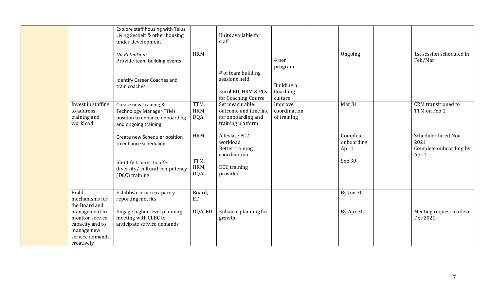| Invest in staffing<br>to address<br>training and<br>workload                                                                                   | Explore staff housing with Telus<br>Living Sechelt & other housing<br>under development<br>On Retention:<br>Provide team building events<br><b>Identify Career Coaches and</b><br>train coaches<br>Create new Training &<br>Technology Manager(TTM)<br>position to enhance onboarding<br>and ongoing training<br>Create new Scheduler position<br>to enhance scheduling<br>Identify trainer to offer<br>diversity/ cultural competency<br>(DCC) training | <b>HRM</b><br>TTM,<br>HRM,<br><b>DQA</b><br><b>HRM</b><br>TTM,<br>HRM,<br><b>DQA</b> | Units available for<br>staff<br># of team building<br>sessions held<br>Enrol ED, HRM & PCs<br>for Coaching Course<br>Set measurable<br>outcome and timeline<br>for onboarding and<br>training platform<br>Alleviate PC2<br>workload<br>Better training<br>coordination<br>DCC training<br>provided | 4 per<br>program<br>Building a<br>Coaching<br>culture<br>Improve<br>coordination<br>of training | Ongoing<br>Mar 31<br>Complete<br>onboarding<br>Apr 1<br>Sep 30 | 1st session scheduled in<br>Feb/Mar<br>CRM transitioned to<br>TTM on Feb 1<br>Scheduler hired Nov<br>2021<br>Complete onboarding by<br>Apr 1 |
|------------------------------------------------------------------------------------------------------------------------------------------------|----------------------------------------------------------------------------------------------------------------------------------------------------------------------------------------------------------------------------------------------------------------------------------------------------------------------------------------------------------------------------------------------------------------------------------------------------------|--------------------------------------------------------------------------------------|----------------------------------------------------------------------------------------------------------------------------------------------------------------------------------------------------------------------------------------------------------------------------------------------------|-------------------------------------------------------------------------------------------------|----------------------------------------------------------------|----------------------------------------------------------------------------------------------------------------------------------------------|
| Build<br>mechanisms for<br>the Board and<br>management to<br>monitor service<br>capacity and to<br>manage new<br>service demands<br>creatively | Establish service capacity<br>reporting metrics<br>Engage higher level planning<br>meeting with CLBC to<br>anticipate service demands                                                                                                                                                                                                                                                                                                                    | Board,<br>$\rm ED$<br>DQA, ED                                                        | Enhance planning for<br>growth                                                                                                                                                                                                                                                                     |                                                                                                 | By Jun 30<br>By Apr 30                                         | Meeting request made in<br>Dec 2021                                                                                                          |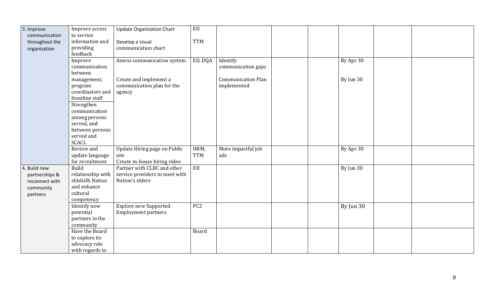| 3. Improve     | Improve access    | <b>Update Organization Chart</b> | <b>ED</b>       |                           |             |  |
|----------------|-------------------|----------------------------------|-----------------|---------------------------|-------------|--|
| communication  | to service        |                                  |                 |                           |             |  |
| throughout the | information and   | Develop a visual                 | <b>TTM</b>      |                           |             |  |
| organization   | providing         | communication chart              |                 |                           |             |  |
|                | feedback          |                                  |                 |                           |             |  |
|                | Improve           | Assess communication system      | ED, DQA         | Identify                  | By Apr 30   |  |
|                | communication     |                                  |                 | communication gaps        |             |  |
|                | between           |                                  |                 |                           |             |  |
|                | management,       | Create and implement a           |                 | <b>Communication Plan</b> | By Jun 30   |  |
|                | program           | communication plan for the       |                 | implemented               |             |  |
|                | coordinators and  | agency                           |                 |                           |             |  |
|                | frontline staff   |                                  |                 |                           |             |  |
|                | Strengthen        |                                  |                 |                           |             |  |
|                | communication     |                                  |                 |                           |             |  |
|                | among persons     |                                  |                 |                           |             |  |
|                | served, and       |                                  |                 |                           |             |  |
|                | between persons   |                                  |                 |                           |             |  |
|                | served and        |                                  |                 |                           |             |  |
|                | <b>SCACL</b>      |                                  |                 |                           |             |  |
|                | Review and        | Update Hiring page on Public     | HRM,            | More impactful job        | By Apr 30   |  |
|                | update language   | site                             | <b>TTM</b>      | ads                       |             |  |
|                | for recruitment   | Create in-house hiring video     |                 |                           |             |  |
| 4. Build new   | $Bu$ ild          | Partner with CLBC and other      | ED              |                           | By Jun $30$ |  |
| partnerships & | relationship with | service providers to meet with   |                 |                           |             |  |
| reconnect with | shíshálh Nation   | Nation's elders                  |                 |                           |             |  |
| community      | and enhance       |                                  |                 |                           |             |  |
| partners       | cultural          |                                  |                 |                           |             |  |
|                | competency        |                                  |                 |                           |             |  |
|                | Identify new      | <b>Explore new Supported</b>     | PC <sub>2</sub> |                           | By Jun 30   |  |
|                | potential         | <b>Employment partners</b>       |                 |                           |             |  |
|                | partners in the   |                                  |                 |                           |             |  |
|                | community         |                                  |                 |                           |             |  |
|                | Have the Board    |                                  | Board           |                           |             |  |
|                | to explore its    |                                  |                 |                           |             |  |
|                | advocacy role     |                                  |                 |                           |             |  |
|                | with regards to   |                                  |                 |                           |             |  |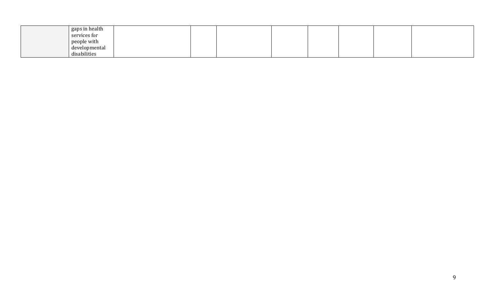| gaps in health |  |  |  |  |
|----------------|--|--|--|--|
| services for   |  |  |  |  |
| people with    |  |  |  |  |
| developmental  |  |  |  |  |
| disabilities   |  |  |  |  |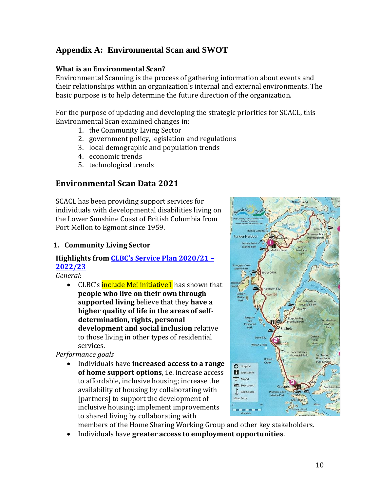# **Appendix A: Environmental Scan and SWOT**

#### **What is an Environmental Scan?**

Environmental Scanning is the process of gathering information about events and their relationships within an organization's internal and external environments. The basic purpose is to help determine the future direction of the organization.

For the purpose of updating and developing the strategic priorities for SCACL, this Environmental Scan examined changes in:

- 1. the Community Living Sector
- 2. government policy, legislation and regulations
- 3. local demographic and population trends
- 4. economic trends
- 5. technological trends

# **Environmental Scan Data 2021**

SCACL has been providing support services for individuals with developmental disabilities living on the Lower Sunshine Coast of British Columbia from Port Mellon to Egmont since 1959.

#### **1. Community Living Sector**

#### **Highlights from [CLBC's Service Plan 2020/21 –](https://www.communitylivingbc.ca/wp-content/uploads/CLBC_20-21_SP_FINAL.pdf) [2022/23](https://www.communitylivingbc.ca/wp-content/uploads/CLBC_20-21_SP_FINAL.pdf)**

*General*:

• CLBC's include Me! initiative1 has shown that **people who live on their own through supported living** believe that they **have a higher quality of life in the areas of selfdetermination, rights, personal development and social inclusion** relative to those living in other types of residential services.

*Performance goals*

• Individuals have **increased access to a range of home support options**, i.e. increase access to affordable, inclusive housing; increase the availability of housing by collaborating with [partners] to support the development of inclusive housing; implement improvements to shared living by collaborating with



members of the Home Sharing Working Group and other key stakeholders.

• Individuals have **greater access to employment opportunities**.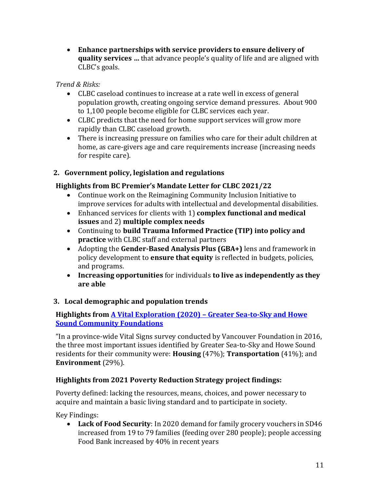• **Enhance partnerships with service providers to ensure delivery of quality services …** that advance people's quality of life and are aligned with CLBC's goals.

*Trend & Risks:*

- CLBC caseload continues to increase at a rate well in excess of general population growth, creating ongoing service demand pressures. About 900 to 1,100 people become eligible for CLBC services each year.
- CLBC predicts that the need for home support services will grow more rapidly than CLBC caseload growth.
- There is increasing pressure on families who care for their adult children at home, as care-givers age and care requirements increase (increasing needs for respite care).

# **2. Government policy, legislation and regulations**

# **Highlights from BC Premier's Mandate Letter for CLBC 2021/22**

- Continue work on the Reimagining Community Inclusion Initiative to improve services for adults with intellectual and developmental disabilities.
- Enhanced services for clients with 1) **complex functional and medical issues** and 2) **multiple complex needs**
- Continuing to **build Trauma Informed Practice (TIP) into policy and practice** with CLBC staff and external partners
- Adopting the **Gender-Based Analysis Plus (GBA+)** lens and framework in policy development to **ensure that equity** is reflected in budgets, policies, and programs.
- **Increasing opportunities** for individuals **to live as independently as they are able**

# **3. Local demographic and population trends**

#### **Highlights from A Vital Exploration (2020) – [Greater Sea-to-Sky and Howe](https://sunshinecoastfoundation.org/wp-content/uploads/2020/12/SeatoSkyVitalExplorationsReport-2020-FINAL-R.pdf)  [Sound Community Foundations](https://sunshinecoastfoundation.org/wp-content/uploads/2020/12/SeatoSkyVitalExplorationsReport-2020-FINAL-R.pdf)**

"In a province-wide Vital Signs survey conducted by Vancouver Foundation in 2016, the three most important issues identified by Greater Sea-to-Sky and Howe Sound residents for their community were: **Housing** (47%); **Transportation** (41%); and **Environment** (29%).

# **Highlights from 2021 Poverty Reduction Strategy project findings:**

Poverty defined: lacking the resources, means, choices, and power necessary to acquire and maintain a basic living standard and to participate in society.

Key Findings:

• **Lack of Food Security**: In 2020 demand for family grocery vouchers in SD46 increased from 19 to 79 families (feeding over 280 people); people accessing Food Bank increased by 40% in recent years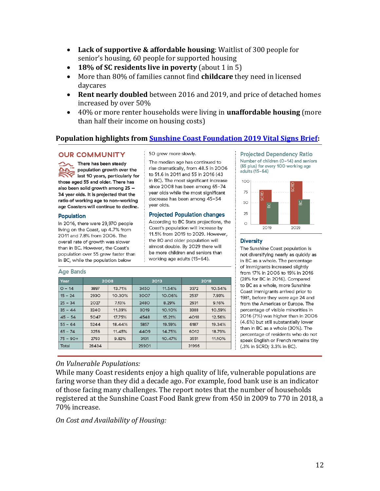- **Lack of supportive & affordable housing**: Waitlist of 300 people for senior's housing, 60 people for supported housing
- **18% of SC residents live in poverty** (about 1 in 5)
- More than 80% of families cannot find **childcare** they need in licensed daycares
- **Rent nearly doubled** between 2016 and 2019, and price of detached homes increased by over 50%
- 40% or more renter households were living in **unaffordable housing** (more than half their income on housing costs)

#### **Population highlights fro[m Sunshine Coast Foundation 2019 Vital Signs Brief:](https://sunshinecoastfoundation.org/vital-signs/2019-vital-brief/)**

#### **OUR COMMUNITY**

There has been steady population growth over the last 10 years, particularly for those aged 55 and older. There has also been solid growth among 25 -34 year olds. It is projected that the ratio of working age to non-working age Coasters will continue to decline.

#### **Population**

In 2016, there were 29,970 people living on the Coast, up 4.7% from 2011 and 7.8% from 2006. The overall rate of growth was slower than in BC. However, the Coast's population over 55 grew faster than in BC, while the population below

#### Age Rands

50 grew more slowly.

The median age has continued to rise dramatically, from 48.5 in 2006 to 51.6 in 2011 and 55 in 2016 (43 in BC). The most significant increase since 2008 has been among 65-74 year olds while the most significant decrease has been among 45-54 year olds.

#### **Projected Population changes**

According to BC Stats projections, the Coast's population will increase by 11.5% from 2019 to 2029. However, the 80 and older population will almost double. By 2029 there will be more children and seniors than working age adults (15-64).

| Year       | 2008        |        | 2013                  |        | 2018  |        |  |  |  |
|------------|-------------|--------|-----------------------|--------|-------|--------|--|--|--|
| $O - 14$   | 3897        | 13.71% | 11.54%<br><b>3450</b> |        | 3372  | 10.54% |  |  |  |
| $15 - 24$  | <b>2930</b> | 10.30% | 3007                  | 10.06% | 2537  | 7.93%  |  |  |  |
| $25 - 34$  | 2027        | 7.13%  | 2480                  | 8.29%  | 2931  | 9.16%  |  |  |  |
| $35 - 44$  | 3240        | 11.39% | 3019                  | 10.10% | 3388  | 10.59% |  |  |  |
| $45 - 54$  | 5047        | 17.75% | 4548                  | 15.21% | 4018  | 12.56% |  |  |  |
| $55 - 64$  | 5244        | 18.44% | 5857                  | 19.59% | 6187  | 19.34% |  |  |  |
| $65 - 74$  | 3256        | 11.45% | 4409                  | 14.75% | 6012  | 18.79% |  |  |  |
| $75 - 90+$ | 2793        | 9.82%  | 3131                  | 10.47% | 3551  | 11.10% |  |  |  |
| Total      | 28434       |        | 29901                 |        | 31996 |        |  |  |  |

**Projected Dependency Ratio** Number of children (O-14) and seniors (65 plus) for every 100 working age adults  $(15-64)$ 



#### **Diversity**

The Sunshine Coast population is not diversifying nearly as quickly as in BC as a whole. The percentage of immigrants increased slightly from 17% in 2006 to 19% in 2016 (28% for BC in 2016). Compared to BC as a whole, more Sunshine Coast immigrants arrived prior to 1981, before they were age 24 and from the Americas or Europe. The percentage of visible minorities in 2016 (7%) was higher than in 2006 (4.6%) but still substantially lower than in BC as a whole (30%). The percentage of residents who do not speak English or French remains tiny (.3% in SCRD; 3.3% in BC).

#### *On Vulnerable Populations:*

While many Coast residents enjoy a high quality of life, vulnerable populations are faring worse than they did a decade ago. For example, food bank use is an indicator of those facing many challenges. The report notes that the number of households registered at the Sunshine Coast Food Bank grew from 450 in 2009 to 770 in 2018, a 70% increase.

*On Cost and Availability of Housing:*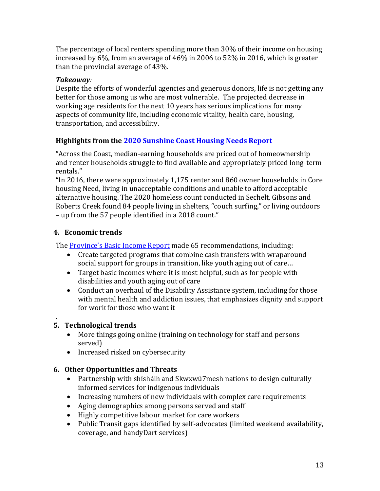The percentage of local renters spending more than 30% of their income on housing increased by 6%, from an average of 46% in 2006 to 52% in 2016, which is greater than the provincial average of 43%.

#### *Takeaway:*

Despite the efforts of wonderful agencies and generous donors, life is not getting any better for those among us who are most vulnerable. The projected decrease in working age residents for the next 10 years has serious implications for many aspects of community life, including economic vitality, health care, housing, transportation, and accessibility.

# **Highlights from the [2020 Sunshine Coast Housing Needs Report](https://gibsons.ca/wp-content/uploads/2020/11/2020-11-17_SUNSHINECOAST_HNR-FINAL.pdf)**

"Across the Coast, median-earning households are priced out of homeownership and renter households struggle to find available and appropriately priced long-term rentals."

"In 2016, there were approximately 1,175 renter and 860 owner households in Core housing Need, living in unacceptable conditions and unable to afford acceptable alternative housing. The 2020 homeless count conducted in Sechelt, Gibsons and Roberts Creek found 84 people living in shelters, "couch surfing," or living outdoors – up from the 57 people identified in a 2018 count."

# **4. Economic trends**

The **[Province's Basic Income Report](https://bcbasicincomepanel.ca/wp-content/uploads/2021/01/Executive_Summary_BC_Basic_Income_Panel.pdf)** made 65 recommendations, including:

- Create targeted programs that combine cash transfers with wraparound social support for groups in transition, like youth aging out of care…
- Target basic incomes where it is most helpful, such as for people with disabilities and youth aging out of care
- Conduct an overhaul of the Disability Assistance system, including for those with mental health and addiction issues, that emphasizes dignity and support for work for those who want it

#### . **5. Technological trends**

- More things going online (training on technology for staff and persons served)
- Increased risked on cybersecurity

# **6. Other Opportunities and Threats**

- Partnership with shíshálh and Skwxwú7mesh nations to design culturally informed services for indigenous individuals
- Increasing numbers of new individuals with complex care requirements
- Aging demographics among persons served and staff
- Highly competitive labour market for care workers
- Public Transit gaps identified by self-advocates (limited weekend availability, coverage, and handyDart services)